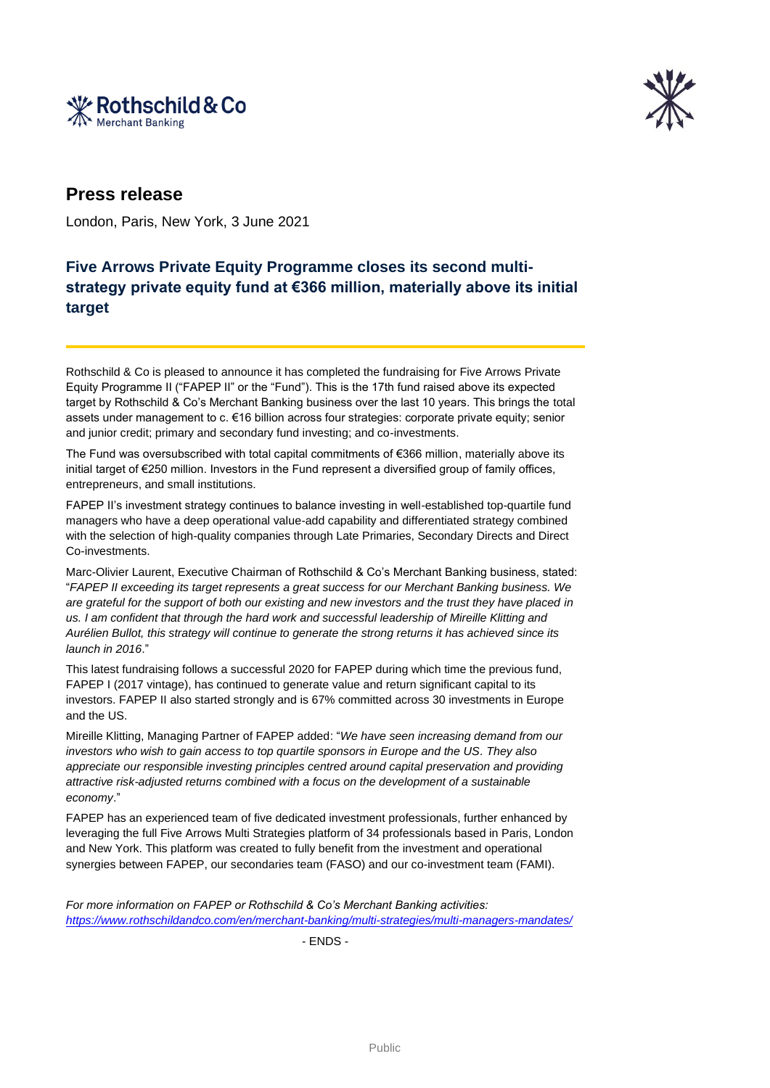



## **Press release**

London, Paris, New York, 3 June 2021

## **Five Arrows Private Equity Programme closes its second multistrategy private equity fund at €366 million, materially above its initial target**

Rothschild & Co is pleased to announce it has completed the fundraising for Five Arrows Private Equity Programme II ("FAPEP II" or the "Fund"). This is the 17th fund raised above its expected target by Rothschild & Co's Merchant Banking business over the last 10 years. This brings the total assets under management to c. €16 billion across four strategies: corporate private equity; senior and junior credit; primary and secondary fund investing; and co-investments.

The Fund was oversubscribed with total capital commitments of €366 million, materially above its initial target of €250 million. Investors in the Fund represent a diversified group of family offices, entrepreneurs, and small institutions.

FAPEP II's investment strategy continues to balance investing in well-established top-quartile fund managers who have a deep operational value-add capability and differentiated strategy combined with the selection of high-quality companies through Late Primaries, Secondary Directs and Direct Co-investments.

Marc-Olivier Laurent, Executive Chairman of Rothschild & Co's Merchant Banking business, stated: "*FAPEP II exceeding its target represents a great success for our Merchant Banking business. We are grateful for the support of both our existing and new investors and the trust they have placed in us. I am confident that through the hard work and successful leadership of Mireille Klitting and Aurélien Bullot, this strategy will continue to generate the strong returns it has achieved since its launch in 2016*."

This latest fundraising follows a successful 2020 for FAPEP during which time the previous fund, FAPEP I (2017 vintage), has continued to generate value and return significant capital to its investors. FAPEP II also started strongly and is 67% committed across 30 investments in Europe and the US.

Mireille Klitting, Managing Partner of FAPEP added: "*We have seen increasing demand from our investors who wish to gain access to top quartile sponsors in Europe and the US. They also appreciate our responsible investing principles centred around capital preservation and providing attractive risk-adjusted returns combined with a focus on the development of a sustainable economy*."

FAPEP has an experienced team of five dedicated investment professionals, further enhanced by leveraging the full Five Arrows Multi Strategies platform of 34 professionals based in Paris, London and New York. This platform was created to fully benefit from the investment and operational synergies between FAPEP, our secondaries team (FASO) and our co-investment team (FAMI).

*For more information on FAPEP or Rothschild & Co's Merchant Banking activities: <https://www.rothschildandco.com/en/merchant-banking/multi-strategies/multi-managers-mandates/>*

- ENDS -